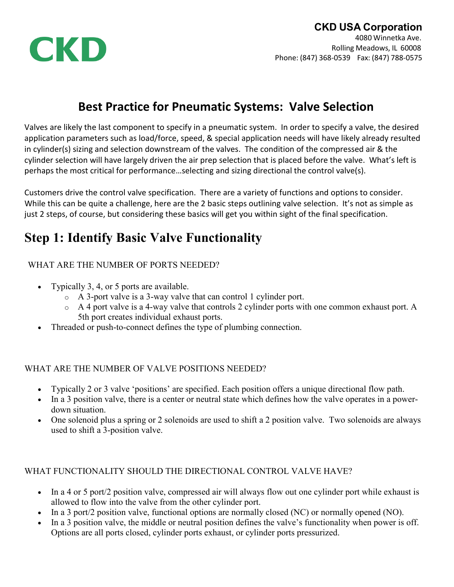

## **CKD USA Corporation**

4080 Winnetka Ave. Rolling Meadows, IL 60008 Phone: (847) 368‐0539 Fax: (847) 788‐0575

## **Best Practice for Pneumatic Systems: Valve Selection**

Valves are likely the last component to specify in a pneumatic system. In order to specify a valve, the desired application parameters such as load/force, speed, & special application needs will have likely already resulted in cylinder(s) sizing and selection downstream of the valves. The condition of the compressed air & the cylinder selection will have largely driven the air prep selection that is placed before the valve. What's left is perhaps the most critical for performance…selecting and sizing directional the control valve(s).

Customers drive the control valve specification. There are a variety of functions and options to consider. While this can be quite a challenge, here are the 2 basic steps outlining valve selection. It's not as simple as just 2 steps, of course, but considering these basics will get you within sight of the final specification.

# **Step 1: Identify Basic Valve Functionality**

### WHAT ARE THE NUMBER OF PORTS NEEDED?

- Typically 3, 4, or 5 ports are available.
	- o A 3-port valve is a 3-way valve that can control 1 cylinder port.
	- o A 4 port valve is a 4-way valve that controls 2 cylinder ports with one common exhaust port. A 5th port creates individual exhaust ports.
- Threaded or push-to-connect defines the type of plumbing connection.

### WHAT ARE THE NUMBER OF VALVE POSITIONS NEEDED?

- Typically 2 or 3 valve 'positions' are specified. Each position offers a unique directional flow path.
- In a 3 position valve, there is a center or neutral state which defines how the valve operates in a powerdown situation.
- One solenoid plus a spring or 2 solenoids are used to shift a 2 position valve. Two solenoids are always used to shift a 3-position valve.

### WHAT FUNCTIONALITY SHOULD THE DIRECTIONAL CONTROL VALVE HAVE?

- In a 4 or 5 port/2 position valve, compressed air will always flow out one cylinder port while exhaust is allowed to flow into the valve from the other cylinder port.
- In a 3 port/2 position valve, functional options are normally closed (NC) or normally opened (NO).
- In a 3 position valve, the middle or neutral position defines the valve's functionality when power is off. Options are all ports closed, cylinder ports exhaust, or cylinder ports pressurized.